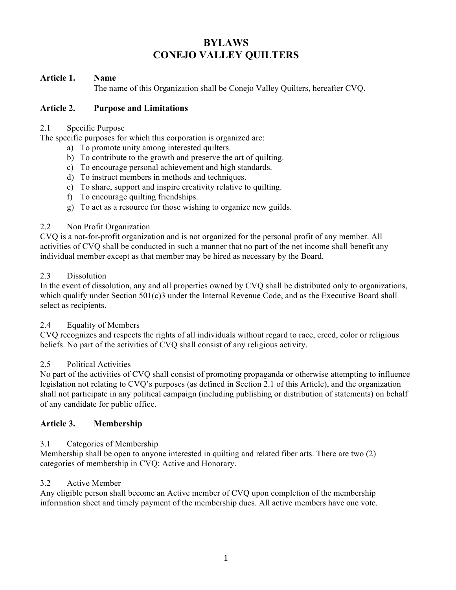# **BYLAWS CONEJO VALLEY QUILTERS**

## **Article 1. Name**

The name of this Organization shall be Conejo Valley Quilters, hereafter CVQ.

## **Article 2. Purpose and Limitations**

## 2.1 Specific Purpose

The specific purposes for which this corporation is organized are:

- a) To promote unity among interested quilters.
- b) To contribute to the growth and preserve the art of quilting.
- c) To encourage personal achievement and high standards.
- d) To instruct members in methods and techniques.
- e) To share, support and inspire creativity relative to quilting.
- f) To encourage quilting friendships.
- g) To act as a resource for those wishing to organize new guilds.

## 2.2 Non Profit Organization

CVQ is a not-for-profit organization and is not organized for the personal profit of any member. All activities of CVQ shall be conducted in such a manner that no part of the net income shall benefit any individual member except as that member may be hired as necessary by the Board.

## 2.3 Dissolution

In the event of dissolution, any and all properties owned by CVQ shall be distributed only to organizations, which qualify under Section 501(c)3 under the Internal Revenue Code, and as the Executive Board shall select as recipients.

## 2.4 Equality of Members

CVQ recognizes and respects the rights of all individuals without regard to race, creed, color or religious beliefs. No part of the activities of CVQ shall consist of any religious activity.

## 2.5 Political Activities

No part of the activities of CVQ shall consist of promoting propaganda or otherwise attempting to influence legislation not relating to CVQ's purposes (as defined in Section 2.1 of this Article), and the organization shall not participate in any political campaign (including publishing or distribution of statements) on behalf of any candidate for public office.

## **Article 3. Membership**

## 3.1 Categories of Membership

Membership shall be open to anyone interested in quilting and related fiber arts. There are two (2) categories of membership in CVQ: Active and Honorary.

## 3.2 Active Member

Any eligible person shall become an Active member of CVQ upon completion of the membership information sheet and timely payment of the membership dues. All active members have one vote.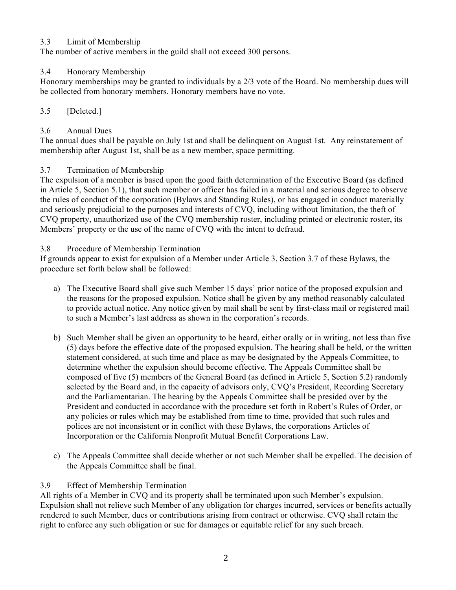## 3.3 Limit of Membership

The number of active members in the guild shall not exceed 300 persons.

## 3.4 Honorary Membership

Honorary memberships may be granted to individuals by a 2/3 vote of the Board. No membership dues will be collected from honorary members. Honorary members have no vote.

## 3.5 [Deleted.]

## 3.6 Annual Dues

The annual dues shall be payable on July 1st and shall be delinquent on August 1st. Any reinstatement of membership after August 1st, shall be as a new member, space permitting.

## 3.7 Termination of Membership

The expulsion of a member is based upon the good faith determination of the Executive Board (as defined in Article 5, Section 5.1), that such member or officer has failed in a material and serious degree to observe the rules of conduct of the corporation (Bylaws and Standing Rules), or has engaged in conduct materially and seriously prejudicial to the purposes and interests of CVQ, including without limitation, the theft of CVQ property, unauthorized use of the CVQ membership roster, including printed or electronic roster, its Members' property or the use of the name of CVQ with the intent to defraud.

## 3.8 Procedure of Membership Termination

If grounds appear to exist for expulsion of a Member under Article 3, Section 3.7 of these Bylaws, the procedure set forth below shall be followed:

- a) The Executive Board shall give such Member 15 days' prior notice of the proposed expulsion and the reasons for the proposed expulsion. Notice shall be given by any method reasonably calculated to provide actual notice. Any notice given by mail shall be sent by first-class mail or registered mail to such a Member's last address as shown in the corporation's records.
- b) Such Member shall be given an opportunity to be heard, either orally or in writing, not less than five (5) days before the effective date of the proposed expulsion. The hearing shall be held, or the written statement considered, at such time and place as may be designated by the Appeals Committee, to determine whether the expulsion should become effective. The Appeals Committee shall be composed of five (5) members of the General Board (as defined in Article 5, Section 5.2) randomly selected by the Board and, in the capacity of advisors only, CVQ's President, Recording Secretary and the Parliamentarian. The hearing by the Appeals Committee shall be presided over by the President and conducted in accordance with the procedure set forth in Robert's Rules of Order, or any policies or rules which may be established from time to time, provided that such rules and polices are not inconsistent or in conflict with these Bylaws, the corporations Articles of Incorporation or the California Nonprofit Mutual Benefit Corporations Law.
- c) The Appeals Committee shall decide whether or not such Member shall be expelled. The decision of the Appeals Committee shall be final.

## 3.9 Effect of Membership Termination

All rights of a Member in CVQ and its property shall be terminated upon such Member's expulsion. Expulsion shall not relieve such Member of any obligation for charges incurred, services or benefits actually rendered to such Member, dues or contributions arising from contract or otherwise. CVQ shall retain the right to enforce any such obligation or sue for damages or equitable relief for any such breach.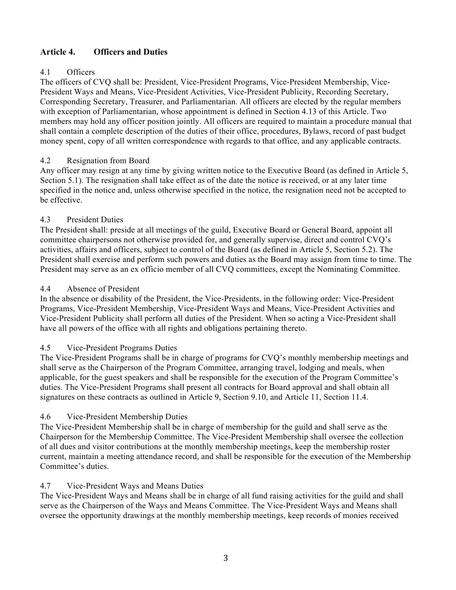## **Article 4. Officers and Duties**

## 4.1 Officers

The officers of CVQ shall be: President, Vice-President Programs, Vice-President Membership, Vice-President Ways and Means, Vice-President Activities, Vice-President Publicity, Recording Secretary, Corresponding Secretary, Treasurer, and Parliamentarian. All officers are elected by the regular members with exception of Parliamentarian, whose appointment is defined in Section 4.13 of this Article. Two members may hold any officer position jointly. All officers are required to maintain a procedure manual that shall contain a complete description of the duties of their office, procedures, Bylaws, record of past budget money spent, copy of all written correspondence with regards to that office, and any applicable contracts.

## 4.2 Resignation from Board

Any officer may resign at any time by giving written notice to the Executive Board (as defined in Article 5, Section 5.1). The resignation shall take effect as of the date the notice is received, or at any later time specified in the notice and, unless otherwise specified in the notice, the resignation need not be accepted to be effective.

## 4.3 President Duties

The President shall: preside at all meetings of the guild, Executive Board or General Board, appoint all committee chairpersons not otherwise provided for, and generally supervise, direct and control CVQ's activities, affairs and officers, subject to control of the Board (as defined in Article 5, Section 5.2). The President shall exercise and perform such powers and duties as the Board may assign from time to time. The President may serve as an ex officio member of all CVQ committees, except the Nominating Committee.

## 4.4 Absence of President

In the absence or disability of the President, the Vice-Presidents, in the following order: Vice-President Programs, Vice-President Membership, Vice-President Ways and Means, Vice-President Activities and Vice-President Publicity shall perform all duties of the President. When so acting a Vice-President shall have all powers of the office with all rights and obligations pertaining thereto.

## 4.5 Vice-President Programs Duties

The Vice-President Programs shall be in charge of programs for CVQ's monthly membership meetings and shall serve as the Chairperson of the Program Committee, arranging travel, lodging and meals, when applicable, for the guest speakers and shall be responsible for the execution of the Program Committee's duties. The Vice-President Programs shall present all contracts for Board approval and shall obtain all signatures on these contracts as outlined in Article 9, Section 9.10, and Article 11, Section 11.4.

## 4.6 Vice-President Membership Duties

The Vice-President Membership shall be in charge of membership for the guild and shall serve as the Chairperson for the Membership Committee. The Vice-President Membership shall oversee the collection of all dues and visitor contributions at the monthly membership meetings, keep the membership roster current, maintain a meeting attendance record, and shall be responsible for the execution of the Membership Committee's duties.

## 4.7 Vice-President Ways and Means Duties

The Vice-President Ways and Means shall be in charge of all fund raising activities for the guild and shall serve as the Chairperson of the Ways and Means Committee. The Vice-President Ways and Means shall oversee the opportunity drawings at the monthly membership meetings, keep records of monies received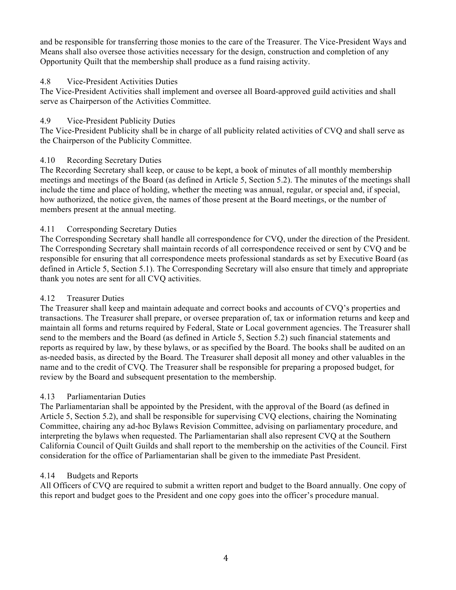and be responsible for transferring those monies to the care of the Treasurer. The Vice-President Ways and Means shall also oversee those activities necessary for the design, construction and completion of any Opportunity Quilt that the membership shall produce as a fund raising activity.

## 4.8 Vice-President Activities Duties

The Vice-President Activities shall implement and oversee all Board-approved guild activities and shall serve as Chairperson of the Activities Committee.

## 4.9 Vice-President Publicity Duties

The Vice-President Publicity shall be in charge of all publicity related activities of CVQ and shall serve as the Chairperson of the Publicity Committee.

## 4.10 Recording Secretary Duties

The Recording Secretary shall keep, or cause to be kept, a book of minutes of all monthly membership meetings and meetings of the Board (as defined in Article 5, Section 5.2). The minutes of the meetings shall include the time and place of holding, whether the meeting was annual, regular, or special and, if special, how authorized, the notice given, the names of those present at the Board meetings, or the number of members present at the annual meeting.

## 4.11 Corresponding Secretary Duties

The Corresponding Secretary shall handle all correspondence for CVQ, under the direction of the President. The Corresponding Secretary shall maintain records of all correspondence received or sent by CVQ and be responsible for ensuring that all correspondence meets professional standards as set by Executive Board (as defined in Article 5, Section 5.1). The Corresponding Secretary will also ensure that timely and appropriate thank you notes are sent for all CVQ activities.

## 4.12 Treasurer Duties

The Treasurer shall keep and maintain adequate and correct books and accounts of CVQ's properties and transactions. The Treasurer shall prepare, or oversee preparation of, tax or information returns and keep and maintain all forms and returns required by Federal, State or Local government agencies. The Treasurer shall send to the members and the Board (as defined in Article 5, Section 5.2) such financial statements and reports as required by law, by these bylaws, or as specified by the Board. The books shall be audited on an as-needed basis, as directed by the Board. The Treasurer shall deposit all money and other valuables in the name and to the credit of CVQ. The Treasurer shall be responsible for preparing a proposed budget, for review by the Board and subsequent presentation to the membership.

## 4.13 Parliamentarian Duties

The Parliamentarian shall be appointed by the President, with the approval of the Board (as defined in Article 5, Section 5.2), and shall be responsible for supervising CVQ elections, chairing the Nominating Committee, chairing any ad-hoc Bylaws Revision Committee, advising on parliamentary procedure, and interpreting the bylaws when requested. The Parliamentarian shall also represent CVQ at the Southern California Council of Quilt Guilds and shall report to the membership on the activities of the Council. First consideration for the office of Parliamentarian shall be given to the immediate Past President.

## 4.14 Budgets and Reports

All Officers of CVQ are required to submit a written report and budget to the Board annually. One copy of this report and budget goes to the President and one copy goes into the officer's procedure manual.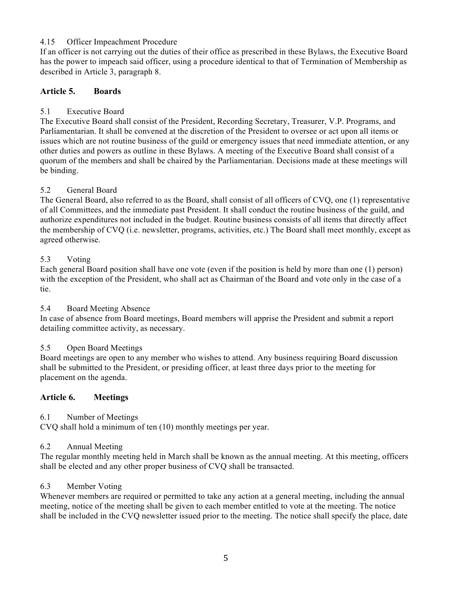## 4.15 Officer Impeachment Procedure

If an officer is not carrying out the duties of their office as prescribed in these Bylaws, the Executive Board has the power to impeach said officer, using a procedure identical to that of Termination of Membership as described in Article 3, paragraph 8.

## **Article 5. Boards**

## 5.1 Executive Board

The Executive Board shall consist of the President, Recording Secretary, Treasurer, V.P. Programs, and Parliamentarian. It shall be convened at the discretion of the President to oversee or act upon all items or issues which are not routine business of the guild or emergency issues that need immediate attention, or any other duties and powers as outline in these Bylaws. A meeting of the Executive Board shall consist of a quorum of the members and shall be chaired by the Parliamentarian. Decisions made at these meetings will be binding.

## 5.2 General Board

The General Board, also referred to as the Board, shall consist of all officers of CVQ, one (1) representative of all Committees, and the immediate past President. It shall conduct the routine business of the guild, and authorize expenditures not included in the budget. Routine business consists of all items that directly affect the membership of CVQ (i.e. newsletter, programs, activities, etc.) The Board shall meet monthly, except as agreed otherwise.

## 5.3 Voting

Each general Board position shall have one vote (even if the position is held by more than one (1) person) with the exception of the President, who shall act as Chairman of the Board and vote only in the case of a tie.

## 5.4 Board Meeting Absence

In case of absence from Board meetings, Board members will apprise the President and submit a report detailing committee activity, as necessary.

## 5.5 Open Board Meetings

Board meetings are open to any member who wishes to attend. Any business requiring Board discussion shall be submitted to the President, or presiding officer, at least three days prior to the meeting for placement on the agenda.

## **Article 6. Meetings**

## 6.1 Number of Meetings

CVQ shall hold a minimum of ten (10) monthly meetings per year.

## 6.2 Annual Meeting

The regular monthly meeting held in March shall be known as the annual meeting. At this meeting, officers shall be elected and any other proper business of CVQ shall be transacted.

## 6.3 Member Voting

Whenever members are required or permitted to take any action at a general meeting, including the annual meeting, notice of the meeting shall be given to each member entitled to vote at the meeting. The notice shall be included in the CVQ newsletter issued prior to the meeting. The notice shall specify the place, date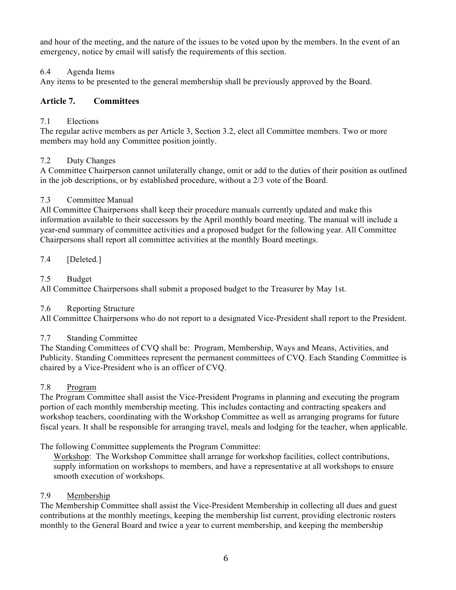and hour of the meeting, and the nature of the issues to be voted upon by the members. In the event of an emergency, notice by email will satisfy the requirements of this section.

## 6.4 Agenda Items

Any items to be presented to the general membership shall be previously approved by the Board.

## **Article 7. Committees**

## 7.1 Elections

The regular active members as per Article 3, Section 3.2, elect all Committee members. Two or more members may hold any Committee position jointly.

## 7.2 Duty Changes

A Committee Chairperson cannot unilaterally change, omit or add to the duties of their position as outlined in the job descriptions, or by established procedure, without a 2/3 vote of the Board.

## 7.3 Committee Manual

All Committee Chairpersons shall keep their procedure manuals currently updated and make this information available to their successors by the April monthly board meeting. The manual will include a year-end summary of committee activities and a proposed budget for the following year. All Committee Chairpersons shall report all committee activities at the monthly Board meetings.

7.4 [Deleted.]

## 7.5 Budget

All Committee Chairpersons shall submit a proposed budget to the Treasurer by May 1st.

## 7.6 Reporting Structure

All Committee Chairpersons who do not report to a designated Vice-President shall report to the President.

## 7.7 Standing Committee

The Standing Committees of CVQ shall be: Program, Membership, Ways and Means, Activities, and Publicity. Standing Committees represent the permanent committees of CVQ. Each Standing Committee is chaired by a Vice-President who is an officer of CVQ.

## 7.8 Program

The Program Committee shall assist the Vice-President Programs in planning and executing the program portion of each monthly membership meeting. This includes contacting and contracting speakers and workshop teachers, coordinating with the Workshop Committee as well as arranging programs for future fiscal years. It shall be responsible for arranging travel, meals and lodging for the teacher, when applicable.

The following Committee supplements the Program Committee:

Workshop: The Workshop Committee shall arrange for workshop facilities, collect contributions, supply information on workshops to members, and have a representative at all workshops to ensure smooth execution of workshops.

## 7.9 Membership

The Membership Committee shall assist the Vice-President Membership in collecting all dues and guest contributions at the monthly meetings, keeping the membership list current, providing electronic rosters monthly to the General Board and twice a year to current membership, and keeping the membership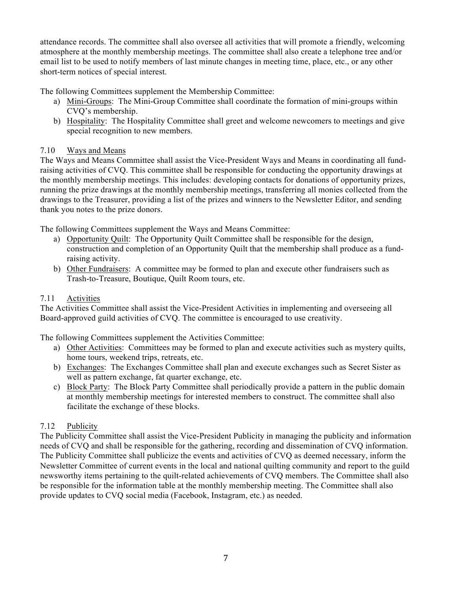attendance records. The committee shall also oversee all activities that will promote a friendly, welcoming atmosphere at the monthly membership meetings. The committee shall also create a telephone tree and/or email list to be used to notify members of last minute changes in meeting time, place, etc., or any other short-term notices of special interest.

The following Committees supplement the Membership Committee:

- a) Mini-Groups: The Mini-Group Committee shall coordinate the formation of mini-groups within CVQ's membership.
- b) Hospitality: The Hospitality Committee shall greet and welcome newcomers to meetings and give special recognition to new members.

## 7.10 Ways and Means

The Ways and Means Committee shall assist the Vice-President Ways and Means in coordinating all fundraising activities of CVQ. This committee shall be responsible for conducting the opportunity drawings at the monthly membership meetings. This includes: developing contacts for donations of opportunity prizes, running the prize drawings at the monthly membership meetings, transferring all monies collected from the drawings to the Treasurer, providing a list of the prizes and winners to the Newsletter Editor, and sending thank you notes to the prize donors.

The following Committees supplement the Ways and Means Committee:

- a) Opportunity Quilt: The Opportunity Quilt Committee shall be responsible for the design, construction and completion of an Opportunity Quilt that the membership shall produce as a fundraising activity.
- b) Other Fundraisers: A committee may be formed to plan and execute other fundraisers such as Trash-to-Treasure, Boutique, Quilt Room tours, etc.

## 7.11 Activities

The Activities Committee shall assist the Vice-President Activities in implementing and overseeing all Board-approved guild activities of CVQ. The committee is encouraged to use creativity.

The following Committees supplement the Activities Committee:

- a) Other Activities: Committees may be formed to plan and execute activities such as mystery quilts, home tours, weekend trips, retreats, etc.
- b) Exchanges: The Exchanges Committee shall plan and execute exchanges such as Secret Sister as well as pattern exchange, fat quarter exchange, etc.
- c) Block Party: The Block Party Committee shall periodically provide a pattern in the public domain at monthly membership meetings for interested members to construct. The committee shall also facilitate the exchange of these blocks.

## 7.12 Publicity

The Publicity Committee shall assist the Vice-President Publicity in managing the publicity and information needs of CVQ and shall be responsible for the gathering, recording and dissemination of CVQ information. The Publicity Committee shall publicize the events and activities of CVQ as deemed necessary, inform the Newsletter Committee of current events in the local and national quilting community and report to the guild newsworthy items pertaining to the quilt-related achievements of CVQ members. The Committee shall also be responsible for the information table at the monthly membership meeting. The Committee shall also provide updates to CVQ social media (Facebook, Instagram, etc.) as needed.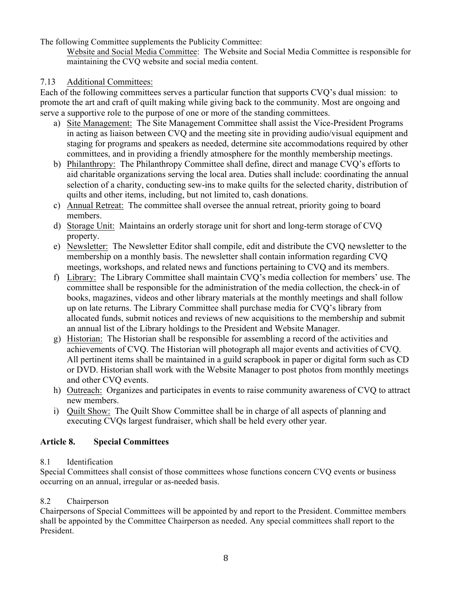The following Committee supplements the Publicity Committee:

Website and Social Media Committee: The Website and Social Media Committee is responsible for maintaining the CVQ website and social media content.

## 7.13 Additional Committees:

Each of the following committees serves a particular function that supports CVQ's dual mission: to promote the art and craft of quilt making while giving back to the community. Most are ongoing and serve a supportive role to the purpose of one or more of the standing committees.

- a) Site Management: The Site Management Committee shall assist the Vice-President Programs in acting as liaison between CVQ and the meeting site in providing audio/visual equipment and staging for programs and speakers as needed, determine site accommodations required by other committees, and in providing a friendly atmosphere for the monthly membership meetings.
- b) Philanthropy: The Philanthropy Committee shall define, direct and manage CVQ's efforts to aid charitable organizations serving the local area. Duties shall include: coordinating the annual selection of a charity, conducting sew-ins to make quilts for the selected charity, distribution of quilts and other items, including, but not limited to, cash donations.
- c) Annual Retreat: The committee shall oversee the annual retreat, priority going to board members.
- d) Storage Unit: Maintains an orderly storage unit for short and long-term storage of CVQ property.
- e) Newsletter: The Newsletter Editor shall compile, edit and distribute the CVQ newsletter to the membership on a monthly basis. The newsletter shall contain information regarding CVQ meetings, workshops, and related news and functions pertaining to CVQ and its members.
- f) Library: The Library Committee shall maintain CVQ's media collection for members' use. The committee shall be responsible for the administration of the media collection, the check-in of books, magazines, videos and other library materials at the monthly meetings and shall follow up on late returns. The Library Committee shall purchase media for CVQ's library from allocated funds, submit notices and reviews of new acquisitions to the membership and submit an annual list of the Library holdings to the President and Website Manager.
- g) Historian: The Historian shall be responsible for assembling a record of the activities and achievements of CVQ. The Historian will photograph all major events and activities of CVQ. All pertinent items shall be maintained in a guild scrapbook in paper or digital form such as CD or DVD. Historian shall work with the Website Manager to post photos from monthly meetings and other CVQ events.
- h) Outreach: Organizes and participates in events to raise community awareness of CVQ to attract new members.
- i) Quilt Show: The Quilt Show Committee shall be in charge of all aspects of planning and executing CVQs largest fundraiser, which shall be held every other year.

## **Article 8. Special Committees**

## 8.1 Identification

Special Committees shall consist of those committees whose functions concern CVQ events or business occurring on an annual, irregular or as-needed basis.

## 8.2 Chairperson

Chairpersons of Special Committees will be appointed by and report to the President. Committee members shall be appointed by the Committee Chairperson as needed. Any special committees shall report to the President.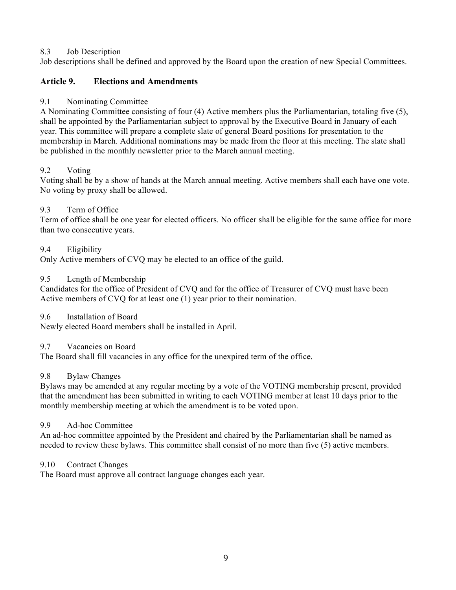## 8.3 Job Description

Job descriptions shall be defined and approved by the Board upon the creation of new Special Committees.

## **Article 9. Elections and Amendments**

## 9.1 Nominating Committee

A Nominating Committee consisting of four (4) Active members plus the Parliamentarian, totaling five (5), shall be appointed by the Parliamentarian subject to approval by the Executive Board in January of each year. This committee will prepare a complete slate of general Board positions for presentation to the membership in March. Additional nominations may be made from the floor at this meeting. The slate shall be published in the monthly newsletter prior to the March annual meeting.

## 9.2 Voting

Voting shall be by a show of hands at the March annual meeting. Active members shall each have one vote. No voting by proxy shall be allowed.

## 9.3 Term of Office

Term of office shall be one year for elected officers. No officer shall be eligible for the same office for more than two consecutive years.

## 9.4 Eligibility

Only Active members of CVQ may be elected to an office of the guild.

## 9.5 Length of Membership

Candidates for the office of President of CVQ and for the office of Treasurer of CVQ must have been Active members of CVQ for at least one (1) year prior to their nomination.

## 9.6 Installation of Board

Newly elected Board members shall be installed in April.

## 9.7 Vacancies on Board

The Board shall fill vacancies in any office for the unexpired term of the office.

## 9.8 Bylaw Changes

Bylaws may be amended at any regular meeting by a vote of the VOTING membership present, provided that the amendment has been submitted in writing to each VOTING member at least 10 days prior to the monthly membership meeting at which the amendment is to be voted upon.

## 9.9 Ad-hoc Committee

An ad-hoc committee appointed by the President and chaired by the Parliamentarian shall be named as needed to review these bylaws. This committee shall consist of no more than five (5) active members.

## 9.10 Contract Changes

The Board must approve all contract language changes each year.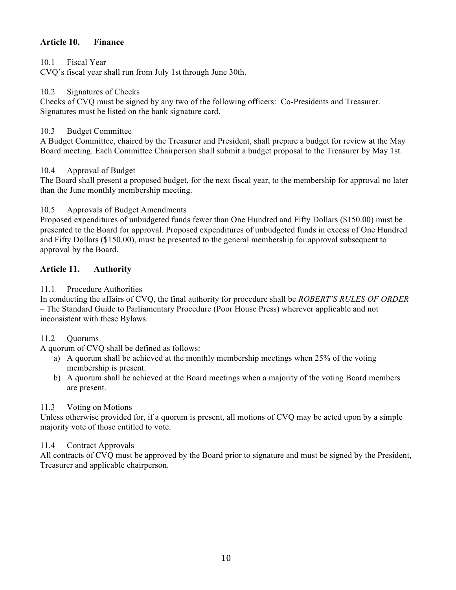## **Article 10. Finance**

#### 10.1 Fiscal Year

CVQ's fiscal year shall run from July 1st through June 30th.

#### 10.2 Signatures of Checks

Checks of CVQ must be signed by any two of the following officers: Co-Presidents and Treasurer. Signatures must be listed on the bank signature card.

#### 10.3 Budget Committee

A Budget Committee, chaired by the Treasurer and President, shall prepare a budget for review at the May Board meeting. Each Committee Chairperson shall submit a budget proposal to the Treasurer by May 1st.

#### 10.4 Approval of Budget

The Board shall present a proposed budget, for the next fiscal year, to the membership for approval no later than the June monthly membership meeting.

## 10.5 Approvals of Budget Amendments

Proposed expenditures of unbudgeted funds fewer than One Hundred and Fifty Dollars (\$150.00) must be presented to the Board for approval. Proposed expenditures of unbudgeted funds in excess of One Hundred and Fifty Dollars (\$150.00), must be presented to the general membership for approval subsequent to approval by the Board.

## **Article 11. Authority**

## 11.1 Procedure Authorities

In conducting the affairs of CVQ, the final authority for procedure shall be *ROBERT'S RULES OF ORDER*  – The Standard Guide to Parliamentary Procedure (Poor House Press) wherever applicable and not inconsistent with these Bylaws.

## 11.2 Quorums

A quorum of CVQ shall be defined as follows:

- a) A quorum shall be achieved at the monthly membership meetings when 25% of the voting membership is present.
- b) A quorum shall be achieved at the Board meetings when a majority of the voting Board members are present.

## 11.3 Voting on Motions

Unless otherwise provided for, if a quorum is present, all motions of CVQ may be acted upon by a simple majority vote of those entitled to vote.

## 11.4 Contract Approvals

All contracts of CVQ must be approved by the Board prior to signature and must be signed by the President, Treasurer and applicable chairperson.